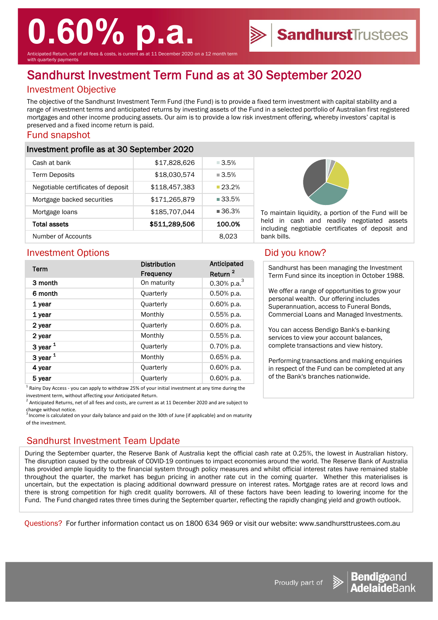# **0.60% p.a.**

Anticipated Return, net of all fees & costs, is current as at 11 December 2020 on a 12 month term ith quarterly payments

## Sandhurst Investment Term Fund as at 30 September 2020

#### Investment Objective

The objective of the Sandhurst Investment Term Fund (the Fund) is to provide a fixed term investment with capital stability and a range of investment terms and anticipated returns by investing assets of the Fund in a selected portfolio of Australian first registered mortgages and other income producing assets. Our aim is to provide a low risk investment offering, whereby investors' capital is preserved and a fixed income return is paid.

#### Fund snapshot

#### Investment profile as at 30 September 2020

| Cash at bank                       | \$17,828,626  | $\Box 3.5\%$         |
|------------------------------------|---------------|----------------------|
| <b>Term Deposits</b>               | \$18,030,574  | $\blacksquare$ 3.5%  |
| Negotiable certificates of deposit | \$118,457,383 | $23.2\%$             |
| Mortgage backed securities         | \$171,265,879 | ■ 33.5%              |
| Mortgage loans                     | \$185,707,044 | $\blacksquare$ 36.3% |
| Total assets                       | \$511,289,506 | 100.0%               |
| Number of Accounts                 |               | 8.023                |



To maintain liquidity, a portion of the Fund will be held in cash and readily negotiated assets including negotiable certificates of deposit and bank bills.

**Sandhurst**Trustees

#### Investment Options **Did you know?**

| Term         | <b>Distribution</b><br><b>Frequency</b> | Anticipated<br>Return <sup>2</sup> |
|--------------|-----------------------------------------|------------------------------------|
| 3 month      | On maturity                             | 0.30% p.a. $3$                     |
| 6 month      | Quarterly                               | 0.50% p.a.                         |
| 1 year       | Quarterly                               | 0.60% p.a.                         |
| 1 year       | Monthly                                 | $0.55%$ p.a.                       |
| 2 year       | Quarterly                               | 0.60% p.a.                         |
| 2 year       | Monthly                                 | $0.55%$ p.a.                       |
| $3$ year $1$ | <b>Quarterly</b>                        | 0.70% p.a.                         |
| $3$ year $1$ | Monthly                                 | 0.65% p.a.                         |
| 4 year       | Quarterly                               | 0.60% p.a.                         |
| 5 year       | Quarterly                               | $0.60\%$ p.a.                      |

 $<sup>1</sup>$  Rainy Day Access - you can apply to withdraw 25% of your initial investment at any time during the</sup> investment term, without affecting your Anticipated Return.

 $2$  Anticipated Returns, net of all fees and costs, are current as at 11 December 2020 and are subject to change without notice.

 $^3$  Income is calculated on your daily balance and paid on the 30th of June (if applicable) and on maturity of the investment.

### Sandhurst Investment Team Update

During the September quarter, the Reserve Bank of Australia kept the official cash rate at 0.25%, the lowest in Australian history. The disruption caused by the outbreak of COVID-19 continues to impact economies around the world. The Reserve Bank of Australia has provided ample liquidity to the financial system through policy measures and whilst official interest rates have remained stable throughout the quarter, the market has begun pricing in another rate cut in the coming quarter. Whether this materialises is uncertain, but the expectation is placing additional downward pressure on interest rates. Mortgage rates are at record lows and there is strong competition for high credit quality borrowers. All of these factors have been leading to lowering income for the Fund. The Fund changed rates three times during the September quarter, reflecting the rapidly changing yield and growth outlook.

Questions? For further information contact us on 1800 634 969 or visit our website: www.sandhursttrustees.com.au

Sandhurst has been managing the Investment Term Fund since its inception in October 1988.

We offer a range of opportunities to grow your personal wealth. Our offering includes Superannuation, access to Funeral Bonds, Commercial Loans and Managed Investments.

You can access Bendigo Bank's e-banking services to view your account balances, complete transactions and view history.

Performing transactions and making enquiries in respect of the Fund can be completed at any of the Bank's branches nationwide.



Proudly part of